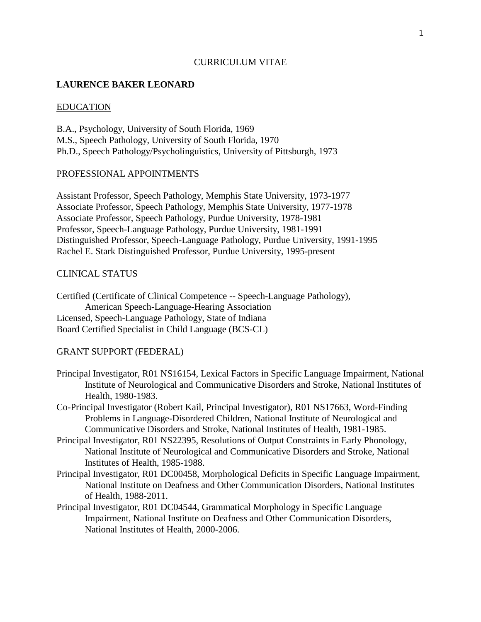### CURRICULUM VITAE

## **LAURENCE BAKER LEONARD**

### EDUCATION

B.A., Psychology, University of South Florida, 1969 M.S., Speech Pathology, University of South Florida, 1970 Ph.D., Speech Pathology/Psycholinguistics, University of Pittsburgh, 1973

#### PROFESSIONAL APPOINTMENTS

Assistant Professor, Speech Pathology, Memphis State University, 1973-1977 Associate Professor, Speech Pathology, Memphis State University, 1977-1978 Associate Professor, Speech Pathology, Purdue University, 1978-1981 Professor, Speech-Language Pathology, Purdue University, 1981-1991 Distinguished Professor, Speech-Language Pathology, Purdue University, 1991-1995 Rachel E. Stark Distinguished Professor, Purdue University, 1995-present

### CLINICAL STATUS

Certified (Certificate of Clinical Competence -- Speech-Language Pathology), American Speech-Language-Hearing Association Licensed, Speech-Language Pathology, State of Indiana Board Certified Specialist in Child Language (BCS-CL)

#### GRANT SUPPORT (FEDERAL)

- Principal Investigator, R01 NS16154, Lexical Factors in Specific Language Impairment, National Institute of Neurological and Communicative Disorders and Stroke, National Institutes of Health, 1980-1983.
- Co-Principal Investigator (Robert Kail, Principal Investigator), R01 NS17663, Word-Finding Problems in Language-Disordered Children, National Institute of Neurological and Communicative Disorders and Stroke, National Institutes of Health, 1981-1985.
- Principal Investigator, R01 NS22395, Resolutions of Output Constraints in Early Phonology, National Institute of Neurological and Communicative Disorders and Stroke, National Institutes of Health, 1985-1988.
- Principal Investigator, R01 DC00458, Morphological Deficits in Specific Language Impairment, National Institute on Deafness and Other Communication Disorders, National Institutes of Health, 1988-2011.
- Principal Investigator, R01 DC04544, Grammatical Morphology in Specific Language Impairment, National Institute on Deafness and Other Communication Disorders, National Institutes of Health, 2000-2006.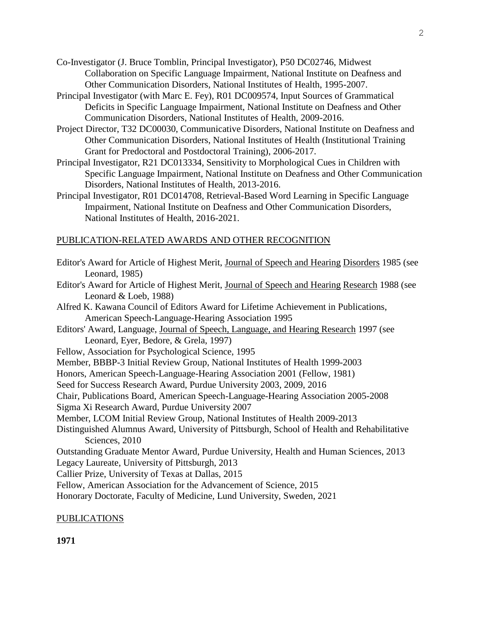- Co-Investigator (J. Bruce Tomblin, Principal Investigator), P50 DC02746, Midwest Collaboration on Specific Language Impairment, National Institute on Deafness and Other Communication Disorders, National Institutes of Health, 1995-2007.
- Principal Investigator (with Marc E. Fey), R01 DC009574, Input Sources of Grammatical Deficits in Specific Language Impairment, National Institute on Deafness and Other Communication Disorders, National Institutes of Health, 2009-2016.
- Project Director, T32 DC00030, Communicative Disorders, National Institute on Deafness and Other Communication Disorders, National Institutes of Health (Institutional Training Grant for Predoctoral and Postdoctoral Training), 2006-2017.
- Principal Investigator, R21 DC013334, Sensitivity to Morphological Cues in Children with Specific Language Impairment, National Institute on Deafness and Other Communication Disorders, National Institutes of Health, 2013-2016.
- Principal Investigator, R01 DC014708, Retrieval-Based Word Learning in Specific Language Impairment, National Institute on Deafness and Other Communication Disorders, National Institutes of Health, 2016-2021.

# PUBLICATION-RELATED AWARDS AND OTHER RECOGNITION

- Editor's Award for Article of Highest Merit, Journal of Speech and Hearing Disorders 1985 (see Leonard, 1985)
- Editor's Award for Article of Highest Merit, Journal of Speech and Hearing Research 1988 (see Leonard & Loeb, 1988)
- Alfred K. Kawana Council of Editors Award for Lifetime Achievement in Publications, American Speech-Language-Hearing Association 1995
- Editors' Award, Language, Journal of Speech, Language, and Hearing Research 1997 (see Leonard, Eyer, Bedore, & Grela, 1997)
- Fellow, Association for Psychological Science, 1995
- Member, BBBP-3 Initial Review Group, National Institutes of Health 1999-2003
- Honors, American Speech-Language-Hearing Association 2001 (Fellow, 1981)
- Seed for Success Research Award, Purdue University 2003, 2009, 2016
- Chair, Publications Board, American Speech-Language-Hearing Association 2005-2008
- Sigma Xi Research Award, Purdue University 2007
- Member, LCOM Initial Review Group, National Institutes of Health 2009-2013
- Distinguished Alumnus Award, University of Pittsburgh, School of Health and Rehabilitative Sciences, 2010
- Outstanding Graduate Mentor Award, Purdue University, Health and Human Sciences, 2013 Legacy Laureate, University of Pittsburgh, 2013
- Callier Prize, University of Texas at Dallas, 2015
- Fellow, American Association for the Advancement of Science, 2015
- Honorary Doctorate, Faculty of Medicine, Lund University, Sweden, 2021

## PUBLICATIONS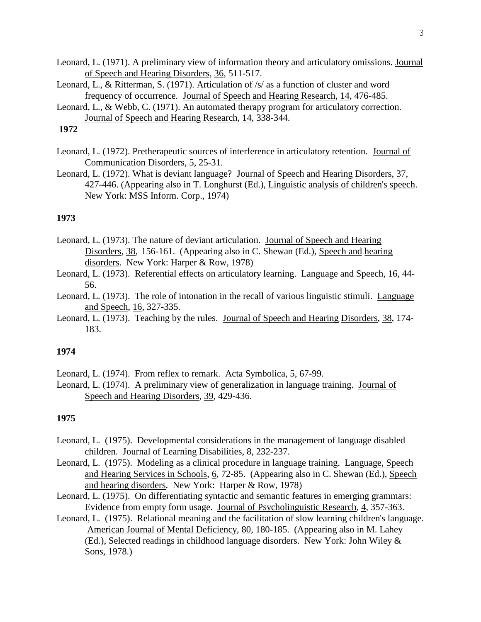- Leonard, L. (1971). A preliminary view of information theory and articulatory omissions. Journal of Speech and Hearing Disorders, 36, 511-517.
- Leonard, L., & Ritterman, S. (1971). Articulation of /s/ as a function of cluster and word frequency of occurrence. Journal of Speech and Hearing Research, 14, 476-485.
- Leonard, L., & Webb, C. (1971). An automated therapy program for articulatory correction. Journal of Speech and Hearing Research, 14, 338-344.

- Leonard, L. (1972). Pretherapeutic sources of interference in articulatory retention. Journal of Communication Disorders, 5, 25-31.
- Leonard, L. (1972). What is deviant language? Journal of Speech and Hearing Disorders, 37, 427-446. (Appearing also in T. Longhurst (Ed.), Linguistic analysis of children's speech. New York: MSS Inform. Corp., 1974)

# **1973**

- Leonard, L. (1973). The nature of deviant articulation. Journal of Speech and Hearing Disorders, 38, 156-161. (Appearing also in C. Shewan (Ed.), Speech and hearing disorders. New York: Harper & Row, 1978)
- Leonard, L. (1973). Referential effects on articulatory learning. Language and Speech, 16, 44- 56.
- Leonard, L. (1973). The role of intonation in the recall of various linguistic stimuli. Language and Speech, 16, 327-335.
- Leonard, L. (1973). Teaching by the rules. Journal of Speech and Hearing Disorders, 38, 174- 183.

### **1974**

Leonard, L. (1974). From reflex to remark. Acta Symbolica, 5, 67-99.

Leonard, L. (1974). A preliminary view of generalization in language training. Journal of Speech and Hearing Disorders, 39, 429-436.

- Leonard, L. (1975). Developmental considerations in the management of language disabled children. Journal of Learning Disabilities, 8, 232-237.
- Leonard, L. (1975). Modeling as a clinical procedure in language training. Language, Speech and Hearing Services in Schools, 6, 72-85. (Appearing also in C. Shewan (Ed.), Speech and hearing disorders. New York: Harper & Row, 1978)
- Leonard, L. (1975). On differentiating syntactic and semantic features in emerging grammars: Evidence from empty form usage. Journal of Psycholinguistic Research, 4, 357-363.
- Leonard, L. (1975). Relational meaning and the facilitation of slow learning children's language. American Journal of Mental Deficiency, 80, 180-185. (Appearing also in M. Lahey (Ed.), Selected readings in childhood language disorders. New York: John Wiley & Sons, 1978.)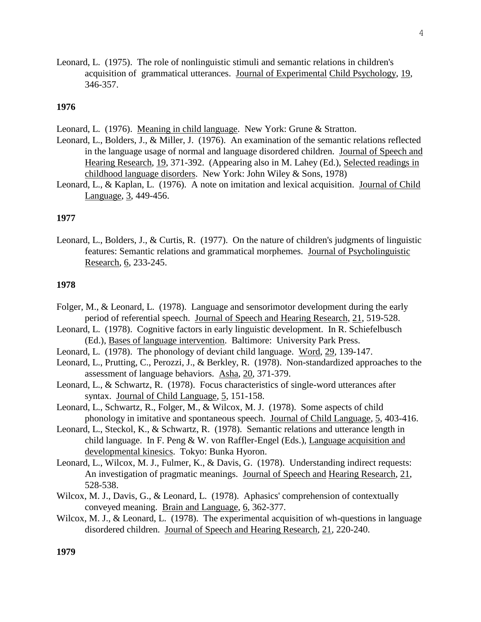Leonard, L. (1975). The role of nonlinguistic stimuli and semantic relations in children's acquisition of grammatical utterances. Journal of Experimental Child Psychology, 19, 346-357.

#### **1976**

Leonard, L. (1976). Meaning in child language. New York: Grune & Stratton.

- Leonard, L., Bolders, J., & Miller, J. (1976). An examination of the semantic relations reflected in the language usage of normal and language disordered children. Journal of Speech and Hearing Research, 19, 371-392. (Appearing also in M. Lahey (Ed.), Selected readings in childhood language disorders. New York: John Wiley & Sons, 1978)
- Leonard, L., & Kaplan, L. (1976). A note on imitation and lexical acquisition. Journal of Child Language, 3, 449-456.

### **1977**

Leonard, L., Bolders, J., & Curtis, R. (1977). On the nature of children's judgments of linguistic features: Semantic relations and grammatical morphemes. Journal of Psycholinguistic Research, 6, 233-245.

### **1978**

- Folger, M., & Leonard, L. (1978). Language and sensorimotor development during the early period of referential speech. Journal of Speech and Hearing Research, 21, 519-528.
- Leonard, L. (1978). Cognitive factors in early linguistic development. In R. Schiefelbusch (Ed.), Bases of language intervention. Baltimore: University Park Press.
- Leonard, L. (1978). The phonology of deviant child language. Word, 29, 139-147.
- Leonard, L., Prutting, C., Perozzi, J., & Berkley, R. (1978). Non-standardized approaches to the assessment of language behaviors. Asha, 20, 371-379.
- Leonard, L., & Schwartz, R. (1978). Focus characteristics of single-word utterances after syntax. Journal of Child Language, 5, 151-158.
- Leonard, L., Schwartz, R., Folger, M., & Wilcox, M. J. (1978). Some aspects of child phonology in imitative and spontaneous speech. Journal of Child Language, 5, 403-416.
- Leonard, L., Steckol, K., & Schwartz, R. (1978). Semantic relations and utterance length in child language. In F. Peng & W. von Raffler-Engel (Eds.), Language acquisition and developmental kinesics. Tokyo: Bunka Hyoron.
- Leonard, L., Wilcox, M. J., Fulmer, K., & Davis, G. (1978). Understanding indirect requests: An investigation of pragmatic meanings. Journal of Speech and Hearing Research, 21, 528-538.
- Wilcox, M. J., Davis, G., & Leonard, L. (1978). Aphasics' comprehension of contextually conveyed meaning. Brain and Language, 6, 362-377.
- Wilcox, M. J., & Leonard, L. (1978). The experimental acquisition of wh-questions in language disordered children. Journal of Speech and Hearing Research, 21, 220-240.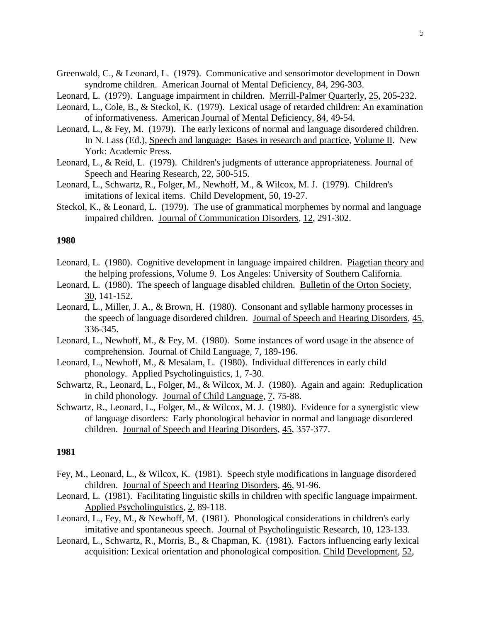- Greenwald, C., & Leonard, L. (1979). Communicative and sensorimotor development in Down syndrome children. American Journal of Mental Deficiency, 84, 296-303.
- Leonard, L. (1979). Language impairment in children. Merrill-Palmer Quarterly, 25, 205-232.
- Leonard, L., Cole, B., & Steckol, K. (1979). Lexical usage of retarded children: An examination of informativeness. American Journal of Mental Deficiency, 84, 49-54.
- Leonard, L., & Fey, M. (1979). The early lexicons of normal and language disordered children. In N. Lass (Ed.), Speech and language: Bases in research and practice, Volume II. New York: Academic Press.
- Leonard, L., & Reid, L. (1979). Children's judgments of utterance appropriateness. Journal of Speech and Hearing Research, 22, 500-515.
- Leonard, L., Schwartz, R., Folger, M., Newhoff, M., & Wilcox, M. J. (1979). Children's imitations of lexical items. Child Development, 50, 19-27.
- Steckol, K., & Leonard, L. (1979). The use of grammatical morphemes by normal and language impaired children. Journal of Communication Disorders, 12, 291-302.

- Leonard, L. (1980). Cognitive development in language impaired children. Piagetian theory and the helping professions, Volume 9. Los Angeles: University of Southern California.
- Leonard, L. (1980). The speech of language disabled children. Bulletin of the Orton Society, 30, 141-152.
- Leonard, L., Miller, J. A., & Brown, H. (1980). Consonant and syllable harmony processes in the speech of language disordered children. Journal of Speech and Hearing Disorders, 45, 336-345.
- Leonard, L., Newhoff, M., & Fey, M. (1980). Some instances of word usage in the absence of comprehension. Journal of Child Language, 7, 189-196.
- Leonard, L., Newhoff, M., & Mesalam, L. (1980). Individual differences in early child phonology. Applied Psycholinguistics, 1, 7-30.
- Schwartz, R., Leonard, L., Folger, M., & Wilcox, M. J. (1980). Again and again: Reduplication in child phonology. Journal of Child Language, 7, 75-88.
- Schwartz, R., Leonard, L., Folger, M., & Wilcox, M. J. (1980). Evidence for a synergistic view of language disorders: Early phonological behavior in normal and language disordered children. Journal of Speech and Hearing Disorders, 45, 357-377.

- Fey, M., Leonard, L., & Wilcox, K. (1981). Speech style modifications in language disordered children. Journal of Speech and Hearing Disorders, 46, 91-96.
- Leonard, L. (1981). Facilitating linguistic skills in children with specific language impairment. Applied Psycholinguistics, 2, 89-118.
- Leonard, L., Fey, M., & Newhoff, M. (1981). Phonological considerations in children's early imitative and spontaneous speech. Journal of Psycholinguistic Research, 10, 123-133.
- Leonard, L., Schwartz, R., Morris, B., & Chapman, K. (1981). Factors influencing early lexical acquisition: Lexical orientation and phonological composition. Child Development, 52,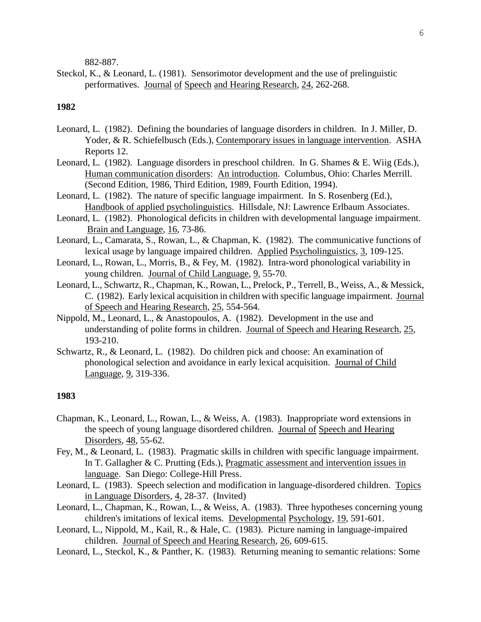882-887.

Steckol, K., & Leonard, L. (1981). Sensorimotor development and the use of prelinguistic performatives. Journal of Speech and Hearing Research, 24, 262-268.

#### **1982**

- Leonard, L. (1982). Defining the boundaries of language disorders in children. In J. Miller, D. Yoder, & R. Schiefelbusch (Eds.), Contemporary issues in language intervention. ASHA Reports 12.
- Leonard, L. (1982). Language disorders in preschool children. In G. Shames & E. Wiig (Eds.), Human communication disorders: An introduction. Columbus, Ohio: Charles Merrill. (Second Edition, 1986, Third Edition, 1989, Fourth Edition, 1994).
- Leonard, L. (1982). The nature of specific language impairment. In S. Rosenberg (Ed.), Handbook of applied psycholinguistics. Hillsdale, NJ: Lawrence Erlbaum Associates.
- Leonard, L. (1982). Phonological deficits in children with developmental language impairment. Brain and Language, 16, 73-86.
- Leonard, L., Camarata, S., Rowan, L., & Chapman, K. (1982). The communicative functions of lexical usage by language impaired children. Applied Psycholinguistics, 3, 109-125.
- Leonard, L., Rowan, L., Morris, B., & Fey, M. (1982). Intra-word phonological variability in young children. Journal of Child Language, 9, 55-70.
- Leonard, L., Schwartz, R., Chapman, K., Rowan, L., Prelock, P., Terrell, B., Weiss, A., & Messick, C. (1982). Early lexical acquisition in children with specific language impairment. Journal of Speech and Hearing Research, 25, 554-564.
- Nippold, M., Leonard, L., & Anastopoulos, A. (1982). Development in the use and understanding of polite forms in children. Journal of Speech and Hearing Research, 25, 193-210.
- Schwartz, R., & Leonard, L. (1982). Do children pick and choose: An examination of phonological selection and avoidance in early lexical acquisition. Journal of Child Language, 9, 319-336.

- Chapman, K., Leonard, L., Rowan, L., & Weiss, A. (1983). Inappropriate word extensions in the speech of young language disordered children. Journal of Speech and Hearing Disorders, 48, 55-62.
- Fey, M., & Leonard, L. (1983). Pragmatic skills in children with specific language impairment. In T. Gallagher & C. Prutting (Eds.), Pragmatic assessment and intervention issues in language. San Diego: College-Hill Press.
- Leonard, L. (1983). Speech selection and modification in language-disordered children. Topics in Language Disorders, 4, 28-37. (Invited)
- Leonard, L., Chapman, K., Rowan, L., & Weiss, A. (1983). Three hypotheses concerning young children's imitations of lexical items. Developmental Psychology, 19, 591-601.
- Leonard, L., Nippold, M., Kail, R., & Hale, C. (1983). Picture naming in language-impaired children. Journal of Speech and Hearing Research, 26, 609-615.
- Leonard, L., Steckol, K., & Panther, K. (1983). Returning meaning to semantic relations: Some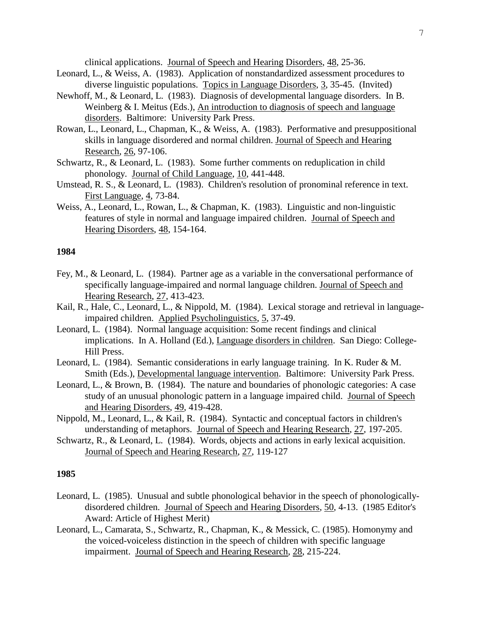clinical applications. Journal of Speech and Hearing Disorders, 48, 25-36.

- Leonard, L., & Weiss, A. (1983). Application of nonstandardized assessment procedures to diverse linguistic populations. Topics in Language Disorders, 3, 35-45. (Invited)
- Newhoff, M., & Leonard, L. (1983). Diagnosis of developmental language disorders. In B. Weinberg & I. Meitus (Eds.), An introduction to diagnosis of speech and language disorders. Baltimore: University Park Press.
- Rowan, L., Leonard, L., Chapman, K., & Weiss, A. (1983). Performative and presuppositional skills in language disordered and normal children. Journal of Speech and Hearing Research, 26, 97-106.
- Schwartz, R., & Leonard, L. (1983). Some further comments on reduplication in child phonology. Journal of Child Language, 10, 441-448.
- Umstead, R. S., & Leonard, L. (1983). Children's resolution of pronominal reference in text. First Language, 4, 73-84.
- Weiss, A., Leonard, L., Rowan, L., & Chapman, K. (1983). Linguistic and non-linguistic features of style in normal and language impaired children. Journal of Speech and Hearing Disorders, 48, 154-164.

## **1984**

- Fey, M., & Leonard, L. (1984). Partner age as a variable in the conversational performance of specifically language-impaired and normal language children. Journal of Speech and Hearing Research, 27, 413-423.
- Kail, R., Hale, C., Leonard, L., & Nippold, M. (1984). Lexical storage and retrieval in languageimpaired children. Applied Psycholinguistics, 5, 37-49.
- Leonard, L. (1984). Normal language acquisition: Some recent findings and clinical implications. In A. Holland (Ed.), Language disorders in children. San Diego: College-Hill Press.
- Leonard, L. (1984). Semantic considerations in early language training. In K. Ruder & M. Smith (Eds.), Developmental language intervention. Baltimore: University Park Press.
- Leonard, L., & Brown, B. (1984). The nature and boundaries of phonologic categories: A case study of an unusual phonologic pattern in a language impaired child. Journal of Speech and Hearing Disorders, 49, 419-428.
- Nippold, M., Leonard, L., & Kail, R. (1984). Syntactic and conceptual factors in children's understanding of metaphors. Journal of Speech and Hearing Research, 27, 197-205.
- Schwartz, R., & Leonard, L. (1984). Words, objects and actions in early lexical acquisition. Journal of Speech and Hearing Research, 27, 119-127

- Leonard, L. (1985). Unusual and subtle phonological behavior in the speech of phonologicallydisordered children. Journal of Speech and Hearing Disorders, 50, 4-13. (1985 Editor's Award: Article of Highest Merit)
- Leonard, L., Camarata, S., Schwartz, R., Chapman, K., & Messick, C. (1985). Homonymy and the voiced-voiceless distinction in the speech of children with specific language impairment. Journal of Speech and Hearing Research, 28, 215-224.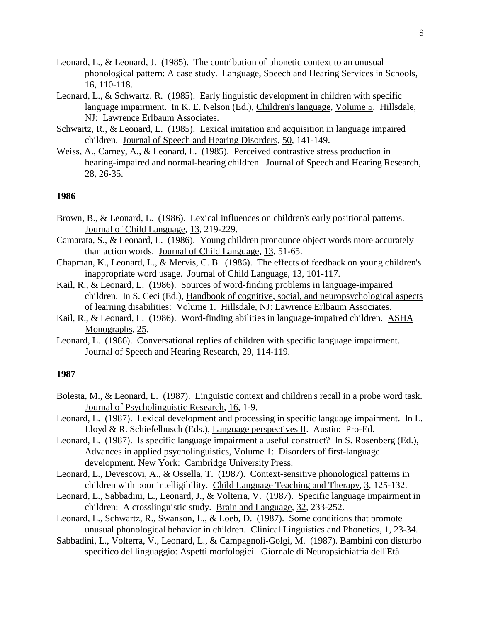- Leonard, L., & Leonard, J. (1985). The contribution of phonetic context to an unusual phonological pattern: A case study. Language, Speech and Hearing Services in Schools, 16, 110-118.
- Leonard, L., & Schwartz, R. (1985). Early linguistic development in children with specific language impairment. In K. E. Nelson (Ed.), Children's language, Volume 5. Hillsdale, NJ: Lawrence Erlbaum Associates.
- Schwartz, R., & Leonard, L. (1985). Lexical imitation and acquisition in language impaired children. Journal of Speech and Hearing Disorders, 50, 141-149.
- Weiss, A., Carney, A., & Leonard, L. (1985). Perceived contrastive stress production in hearing-impaired and normal-hearing children. Journal of Speech and Hearing Research, 28, 26-35.

- Brown, B., & Leonard, L. (1986). Lexical influences on children's early positional patterns. Journal of Child Language, 13, 219-229.
- Camarata, S., & Leonard, L. (1986). Young children pronounce object words more accurately than action words. Journal of Child Language, 13, 51-65.
- Chapman, K., Leonard, L., & Mervis, C. B. (1986). The effects of feedback on young children's inappropriate word usage. Journal of Child Language, 13, 101-117.
- Kail, R., & Leonard, L. (1986). Sources of word-finding problems in language-impaired children. In S. Ceci (Ed.), Handbook of cognitive, social, and neuropsychological aspects of learning disabilities: Volume 1. Hillsdale, NJ: Lawrence Erlbaum Associates.
- Kail, R., & Leonard, L. (1986). Word-finding abilities in language-impaired children. ASHA Monographs, 25.
- Leonard, L. (1986). Conversational replies of children with specific language impairment. Journal of Speech and Hearing Research, 29, 114-119.

- Bolesta, M., & Leonard, L. (1987). Linguistic context and children's recall in a probe word task. Journal of Psycholinguistic Research, 16, 1-9.
- Leonard, L. (1987). Lexical development and processing in specific language impairment. In L. Lloyd & R. Schiefelbusch (Eds.), Language perspectives II. Austin: Pro-Ed.
- Leonard, L. (1987). Is specific language impairment a useful construct? In S. Rosenberg (Ed.), Advances in applied psycholinguistics, Volume 1: Disorders of first-language development. New York: Cambridge University Press.
- Leonard, L., Devescovi, A., & Ossella, T. (1987). Context-sensitive phonological patterns in children with poor intelligibility. Child Language Teaching and Therapy, 3, 125-132.
- Leonard, L., Sabbadini, L., Leonard, J., & Volterra, V. (1987). Specific language impairment in children: A crosslinguistic study. Brain and Language, 32, 233-252.
- Leonard, L., Schwartz, R., Swanson, L., & Loeb, D. (1987). Some conditions that promote unusual phonological behavior in children. Clinical Linguistics and Phonetics, 1, 23-34.
- Sabbadini, L., Volterra, V., Leonard, L., & Campagnoli-Golgi, M. (1987). Bambini con disturbo specifico del linguaggio: Aspetti morfologici. Giornale di Neuropsichiatria dell'Età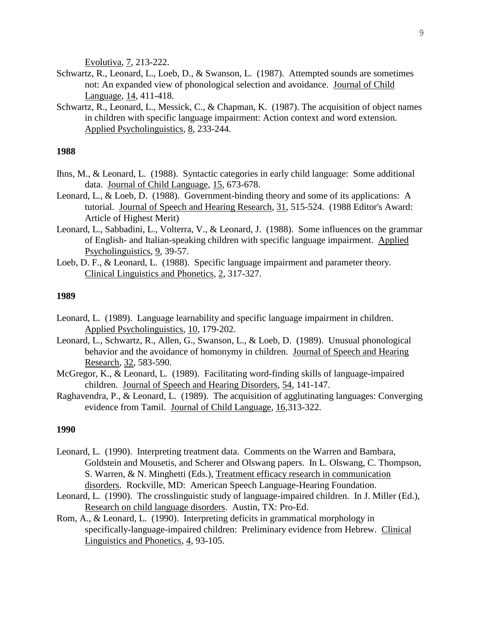Evolutiva, 7, 213-222.

- Schwartz, R., Leonard, L., Loeb, D., & Swanson, L. (1987). Attempted sounds are sometimes not: An expanded view of phonological selection and avoidance. Journal of Child Language, 14, 411-418.
- Schwartz, R., Leonard, L., Messick, C., & Chapman, K. (1987). The acquisition of object names in children with specific language impairment: Action context and word extension. Applied Psycholinguistics, 8, 233-244.

## **1988**

- Ihns, M., & Leonard, L. (1988). Syntactic categories in early child language: Some additional data. Journal of Child Language, 15, 673-678.
- Leonard, L., & Loeb, D. (1988). Government-binding theory and some of its applications: A tutorial. Journal of Speech and Hearing Research, 31, 515-524. (1988 Editor's Award: Article of Highest Merit)
- Leonard, L., Sabbadini, L., Volterra, V., & Leonard, J. (1988). Some influences on the grammar of English- and Italian-speaking children with specific language impairment. Applied Psycholinguistics, 9, 39-57.
- Loeb, D. F., & Leonard, L. (1988). Specific language impairment and parameter theory. Clinical Linguistics and Phonetics, 2, 317-327.

#### **1989**

- Leonard, L. (1989). Language learnability and specific language impairment in children. Applied Psycholinguistics, 10, 179-202.
- Leonard, L., Schwartz, R., Allen, G., Swanson, L., & Loeb, D. (1989). Unusual phonological behavior and the avoidance of homonymy in children. Journal of Speech and Hearing Research, 32, 583-590.
- McGregor, K., & Leonard, L. (1989). Facilitating word-finding skills of language-impaired children. Journal of Speech and Hearing Disorders, 54, 141-147.
- Raghavendra, P., & Leonard, L. (1989). The acquisition of agglutinating languages: Converging evidence from Tamil. Journal of Child Language, 16,313-322.

- Leonard, L. (1990). Interpreting treatment data. Comments on the Warren and Bambara, Goldstein and Mousetis, and Scherer and Olswang papers. In L. Olswang, C. Thompson, S. Warren, & N. Minghetti (Eds.), Treatment efficacy research in communication disorders. Rockville, MD: American Speech Language-Hearing Foundation.
- Leonard, L. (1990). The crosslinguistic study of language-impaired children. In J. Miller (Ed.), Research on child language disorders. Austin, TX: Pro-Ed.
- Rom, A., & Leonard, L. (1990). Interpreting deficits in grammatical morphology in specifically-language-impaired children: Preliminary evidence from Hebrew. Clinical Linguistics and Phonetics, 4, 93-105.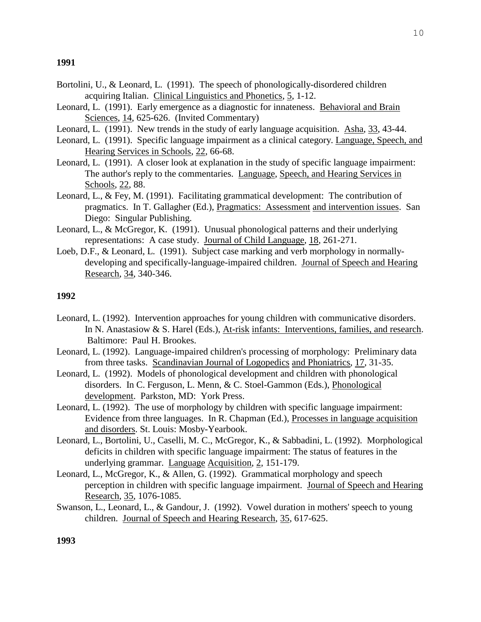- Bortolini, U., & Leonard, L. (1991). The speech of phonologically-disordered children acquiring Italian. Clinical Linguistics and Phonetics, 5, 1-12.
- Leonard, L. (1991). Early emergence as a diagnostic for innateness. Behavioral and Brain Sciences, 14, 625-626. (Invited Commentary)
- Leonard, L. (1991). New trends in the study of early language acquisition. Asha, 33, 43-44.
- Leonard, L. (1991). Specific language impairment as a clinical category. Language, Speech, and Hearing Services in Schools, 22, 66-68.
- Leonard, L. (1991). A closer look at explanation in the study of specific language impairment: The author's reply to the commentaries. Language, Speech, and Hearing Services in Schools, 22, 88.
- Leonard, L., & Fey, M. (1991). Facilitating grammatical development: The contribution of pragmatics. In T. Gallagher (Ed.), Pragmatics: Assessment and intervention issues. San Diego: Singular Publishing.
- Leonard, L., & McGregor, K. (1991). Unusual phonological patterns and their underlying representations: A case study. Journal of Child Language, 18, 261-271.
- Loeb, D.F., & Leonard, L. (1991). Subject case marking and verb morphology in normallydeveloping and specifically-language-impaired children. Journal of Speech and Hearing Research, 34, 340-346.

#### **1992**

- Leonard, L. (1992). Intervention approaches for young children with communicative disorders. In N. Anastasiow & S. Harel (Eds.), At-risk infants: Interventions, families, and research. Baltimore: Paul H. Brookes.
- Leonard, L. (1992). Language-impaired children's processing of morphology: Preliminary data from three tasks. Scandinavian Journal of Logopedics and Phoniatrics, 17, 31-35.
- Leonard, L. (1992). Models of phonological development and children with phonological disorders. In C. Ferguson, L. Menn, & C. Stoel-Gammon (Eds.), Phonological development. Parkston, MD: York Press.
- Leonard, L. (1992). The use of morphology by children with specific language impairment: Evidence from three languages. In R. Chapman (Ed.), Processes in language acquisition and disorders. St. Louis: Mosby-Yearbook.
- Leonard, L., Bortolini, U., Caselli, M. C., McGregor, K., & Sabbadini, L. (1992). Morphological deficits in children with specific language impairment: The status of features in the underlying grammar. Language Acquisition, 2, 151-179.
- Leonard, L., McGregor, K., & Allen, G. (1992). Grammatical morphology and speech perception in children with specific language impairment. Journal of Speech and Hearing Research, 35, 1076-1085.
- Swanson, L., Leonard, L., & Gandour, J. (1992). Vowel duration in mothers' speech to young children. Journal of Speech and Hearing Research, 35, 617-625.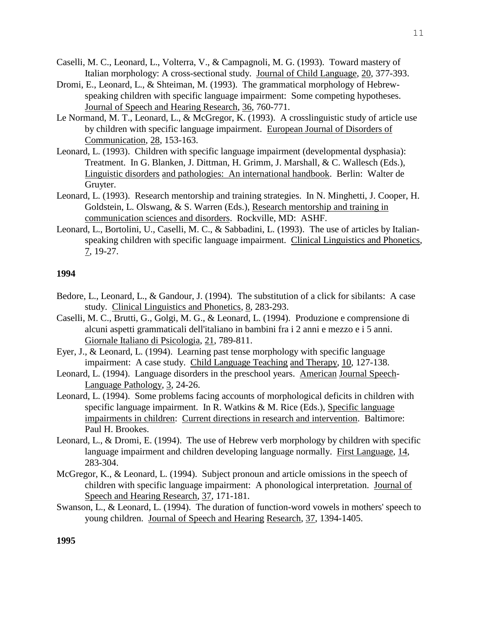- Caselli, M. C., Leonard, L., Volterra, V., & Campagnoli, M. G. (1993). Toward mastery of Italian morphology: A cross-sectional study. Journal of Child Language, 20, 377-393.
- Dromi, E., Leonard, L., & Shteiman, M. (1993). The grammatical morphology of Hebrewspeaking children with specific language impairment: Some competing hypotheses. Journal of Speech and Hearing Research, 36, 760-771.
- Le Normand, M. T., Leonard, L., & McGregor, K. (1993). A crosslinguistic study of article use by children with specific language impairment. European Journal of Disorders of Communication, 28, 153-163.
- Leonard, L. (1993). Children with specific language impairment (developmental dysphasia): Treatment. In G. Blanken, J. Dittman, H. Grimm, J. Marshall, & C. Wallesch (Eds.), Linguistic disorders and pathologies: An international handbook. Berlin: Walter de Gruyter.
- Leonard, L. (1993). Research mentorship and training strategies. In N. Minghetti, J. Cooper, H. Goldstein, L. Olswang, & S. Warren (Eds.), Research mentorship and training in communication sciences and disorders. Rockville, MD: ASHF.
- Leonard, L., Bortolini, U., Caselli, M. C., & Sabbadini, L. (1993). The use of articles by Italianspeaking children with specific language impairment. Clinical Linguistics and Phonetics, 7, 19-27.

- Bedore, L., Leonard, L., & Gandour, J. (1994). The substitution of a click for sibilants: A case study. Clinical Linguistics and Phonetics, 8, 283-293.
- Caselli, M. C., Brutti, G., Golgi, M. G., & Leonard, L. (1994). Produzione e comprensione di alcuni aspetti grammaticali dell'italiano in bambini fra i 2 anni e mezzo e i 5 anni. Giornale Italiano di Psicologia, 21, 789-811.
- Eyer, J., & Leonard, L. (1994). Learning past tense morphology with specific language impairment: A case study. Child Language Teaching and Therapy, 10, 127-138.
- Leonard, L. (1994). Language disorders in the preschool years. American Journal Speech-Language Pathology, 3, 24-26.
- Leonard, L. (1994). Some problems facing accounts of morphological deficits in children with specific language impairment. In R. Watkins & M. Rice (Eds.), Specific language impairments in children: Current directions in research and intervention. Baltimore: Paul H. Brookes.
- Leonard, L., & Dromi, E. (1994). The use of Hebrew verb morphology by children with specific language impairment and children developing language normally. First Language, 14, 283-304.
- McGregor, K., & Leonard, L. (1994). Subject pronoun and article omissions in the speech of children with specific language impairment: A phonological interpretation. Journal of Speech and Hearing Research, 37, 171-181.
- Swanson, L., & Leonard, L. (1994). The duration of function-word vowels in mothers' speech to young children. Journal of Speech and Hearing Research, 37, 1394-1405.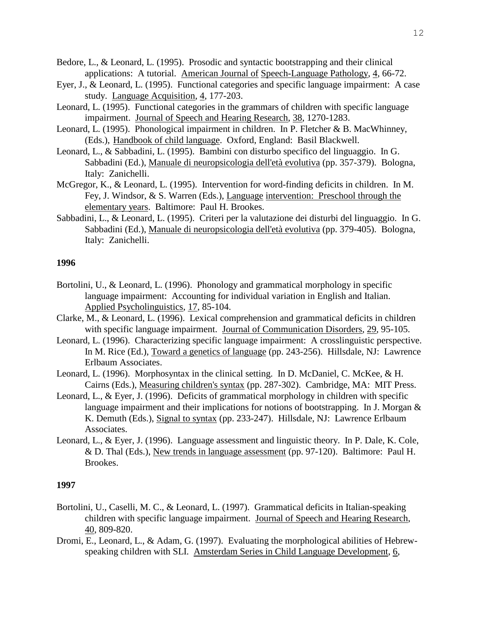- Bedore, L., & Leonard, L. (1995). Prosodic and syntactic bootstrapping and their clinical applications: A tutorial. American Journal of Speech-Language Pathology, 4, 66-72.
- Eyer, J., & Leonard, L. (1995). Functional categories and specific language impairment: A case study. Language Acquisition, 4, 177-203.
- Leonard, L. (1995). Functional categories in the grammars of children with specific language impairment. Journal of Speech and Hearing Research, 38, 1270-1283.
- Leonard, L. (1995). Phonological impairment in children. In P. Fletcher & B. MacWhinney, (Eds.), Handbook of child language. Oxford, England: Basil Blackwell.
- Leonard, L., & Sabbadini, L. (1995). Bambini con disturbo specifico del linguaggio. In G. Sabbadini (Ed.), Manuale di neuropsicologia dell'età evolutiva (pp. 357-379). Bologna, Italy: Zanichelli.
- McGregor, K., & Leonard, L. (1995). Intervention for word-finding deficits in children. In M. Fey, J. Windsor, & S. Warren (Eds.), Language intervention: Preschool through the elementary years. Baltimore: Paul H. Brookes.
- Sabbadini, L., & Leonard, L. (1995). Criteri per la valutazione dei disturbi del linguaggio. In G. Sabbadini (Ed.), Manuale di neuropsicologia dell'età evolutiva (pp. 379-405). Bologna, Italy: Zanichelli.

- Bortolini, U., & Leonard, L. (1996). Phonology and grammatical morphology in specific language impairment: Accounting for individual variation in English and Italian. Applied Psycholinguistics, 17, 85-104.
- Clarke, M., & Leonard, L. (1996). Lexical comprehension and grammatical deficits in children with specific language impairment. Journal of Communication Disorders, 29, 95-105.
- Leonard, L. (1996). Characterizing specific language impairment: A crosslinguistic perspective. In M. Rice (Ed.), Toward a genetics of language (pp. 243-256). Hillsdale, NJ: Lawrence Erlbaum Associates.
- Leonard, L. (1996). Morphosyntax in the clinical setting. In D. McDaniel, C. McKee, & H. Cairns (Eds.), Measuring children's syntax (pp. 287-302). Cambridge, MA: MIT Press.
- Leonard, L., & Eyer, J. (1996). Deficits of grammatical morphology in children with specific language impairment and their implications for notions of bootstrapping. In J. Morgan  $\&$ K. Demuth (Eds.), Signal to syntax (pp. 233-247). Hillsdale, NJ: Lawrence Erlbaum Associates.
- Leonard, L., & Eyer, J. (1996). Language assessment and linguistic theory. In P. Dale, K. Cole, & D. Thal (Eds.), New trends in language assessment (pp. 97-120). Baltimore: Paul H. Brookes.

- Bortolini, U., Caselli, M. C., & Leonard, L. (1997). Grammatical deficits in Italian-speaking children with specific language impairment. Journal of Speech and Hearing Research, 40, 809-820.
- Dromi, E., Leonard, L., & Adam, G. (1997). Evaluating the morphological abilities of Hebrewspeaking children with SLI. Amsterdam Series in Child Language Development, 6,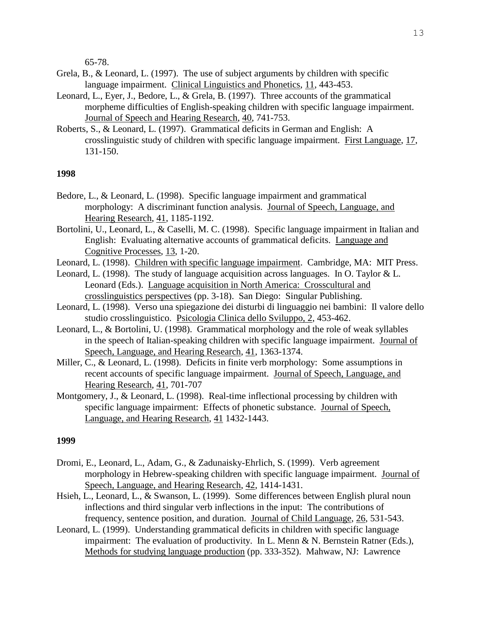65-78.

- Grela, B., & Leonard, L. (1997). The use of subject arguments by children with specific language impairment. Clinical Linguistics and Phonetics, 11, 443-453.
- Leonard, L., Eyer, J., Bedore, L., & Grela, B. (1997). Three accounts of the grammatical morpheme difficulties of English-speaking children with specific language impairment. Journal of Speech and Hearing Research, 40, 741-753.
- Roberts, S., & Leonard, L. (1997). Grammatical deficits in German and English: A crosslinguistic study of children with specific language impairment. First Language, 17, 131-150.

# **1998**

- Bedore, L., & Leonard, L. (1998). Specific language impairment and grammatical morphology: A discriminant function analysis. Journal of Speech, Language, and Hearing Research, 41, 1185-1192.
- Bortolini, U., Leonard, L., & Caselli, M. C. (1998). Specific language impairment in Italian and English: Evaluating alternative accounts of grammatical deficits. Language and Cognitive Processes, 13, 1-20.
- Leonard, L. (1998). Children with specific language impairment. Cambridge, MA: MIT Press.
- Leonard, L. (1998). The study of language acquisition across languages. In O. Taylor & L. Leonard (Eds.). Language acquisition in North America: Crosscultural and crosslinguistics perspectives (pp. 3-18). San Diego: Singular Publishing.
- Leonard, L. (1998). Verso una spiegazione dei disturbi di linguaggio nei bambini: Il valore dello studio crosslinguistico. Psicologia Clinica dello Sviluppo, 2, 453-462.
- Leonard, L., & Bortolini, U. (1998). Grammatical morphology and the role of weak syllables in the speech of Italian-speaking children with specific language impairment. Journal of Speech, Language, and Hearing Research, 41, 1363-1374.
- Miller, C., & Leonard, L. (1998). Deficits in finite verb morphology: Some assumptions in recent accounts of specific language impairment. Journal of Speech, Language, and Hearing Research, 41, 701-707
- Montgomery, J., & Leonard, L. (1998). Real-time inflectional processing by children with specific language impairment: Effects of phonetic substance. Journal of Speech, Language, and Hearing Research, 41 1432-1443.

- Dromi, E., Leonard, L., Adam, G., & Zadunaisky-Ehrlich, S. (1999). Verb agreement morphology in Hebrew-speaking children with specific language impairment. Journal of Speech, Language, and Hearing Research, 42, 1414-1431.
- Hsieh, L., Leonard, L., & Swanson, L. (1999). Some differences between English plural noun inflections and third singular verb inflections in the input: The contributions of frequency, sentence position, and duration. Journal of Child Language, 26, 531-543.
- Leonard, L. (1999). Understanding grammatical deficits in children with specific language impairment: The evaluation of productivity. In L. Menn & N. Bernstein Ratner (Eds.), Methods for studying language production (pp. 333-352). Mahwaw, NJ: Lawrence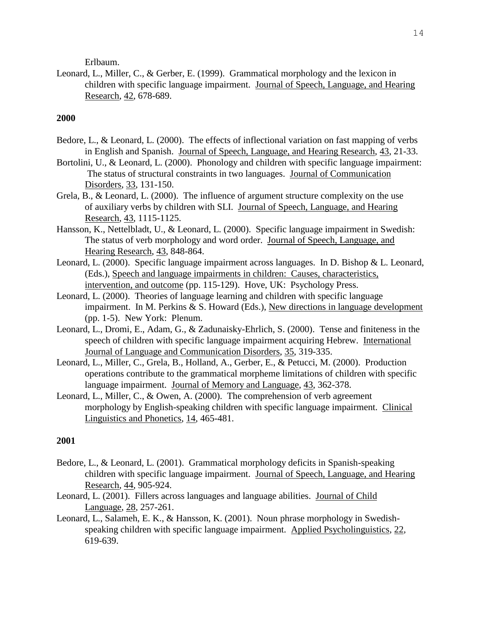Erlbaum.

Leonard, L., Miller, C., & Gerber, E. (1999). Grammatical morphology and the lexicon in children with specific language impairment. Journal of Speech, Language, and Hearing Research, 42, 678-689.

# **2000**

- Bedore, L., & Leonard, L. (2000). The effects of inflectional variation on fast mapping of verbs in English and Spanish. Journal of Speech, Language, and Hearing Research, 43, 21-33.
- Bortolini, U., & Leonard, L. (2000). Phonology and children with specific language impairment: The status of structural constraints in two languages. Journal of Communication Disorders, 33, 131-150.
- Grela, B., & Leonard, L. (2000). The influence of argument structure complexity on the use of auxiliary verbs by children with SLI. Journal of Speech, Language, and Hearing Research, 43, 1115-1125.
- Hansson, K., Nettelbladt, U., & Leonard, L. (2000). Specific language impairment in Swedish: The status of verb morphology and word order. Journal of Speech, Language, and Hearing Research, 43, 848-864.
- Leonard, L. (2000). Specific language impairment across languages. In D. Bishop & L. Leonard, (Eds.), Speech and language impairments in children: Causes, characteristics, intervention, and outcome (pp. 115-129). Hove, UK: Psychology Press.
- Leonard, L. (2000). Theories of language learning and children with specific language impairment. In M. Perkins & S. Howard (Eds.), New directions in language development (pp. 1-5). New York: Plenum.
- Leonard, L., Dromi, E., Adam, G., & Zadunaisky-Ehrlich, S. (2000). Tense and finiteness in the speech of children with specific language impairment acquiring Hebrew. International Journal of Language and Communication Disorders, 35, 319-335.
- Leonard, L., Miller, C., Grela, B., Holland, A., Gerber, E., & Petucci, M. (2000). Production operations contribute to the grammatical morpheme limitations of children with specific language impairment. Journal of Memory and Language, 43, 362-378.
- Leonard, L., Miller, C., & Owen, A. (2000). The comprehension of verb agreement morphology by English-speaking children with specific language impairment. Clinical Linguistics and Phonetics, 14, 465-481.

- Bedore, L., & Leonard, L. (2001). Grammatical morphology deficits in Spanish-speaking children with specific language impairment. Journal of Speech, Language, and Hearing Research, 44, 905-924.
- Leonard, L. (2001). Fillers across languages and language abilities. Journal of Child Language, 28, 257-261.
- Leonard, L., Salameh, E. K., & Hansson, K. (2001). Noun phrase morphology in Swedishspeaking children with specific language impairment. Applied Psycholinguistics, 22, 619-639.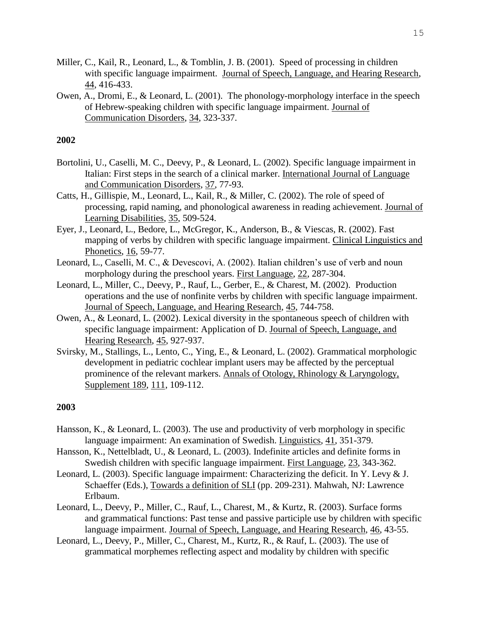- Miller, C., Kail, R., Leonard, L., & Tomblin, J. B. (2001). Speed of processing in children with specific language impairment. Journal of Speech, Language, and Hearing Research, 44, 416-433.
- Owen, A., Dromi, E., & Leonard, L. (2001). The phonology-morphology interface in the speech of Hebrew-speaking children with specific language impairment. Journal of Communication Disorders, 34, 323-337.

- Bortolini, U., Caselli, M. C., Deevy, P., & Leonard, L. (2002). Specific language impairment in Italian: First steps in the search of a clinical marker. International Journal of Language and Communication Disorders, 37, 77-93.
- Catts, H., Gillispie, M., Leonard, L., Kail, R., & Miller, C. (2002). The role of speed of processing, rapid naming, and phonological awareness in reading achievement. Journal of Learning Disabilities, 35, 509-524.
- Eyer, J., Leonard, L., Bedore, L., McGregor, K., Anderson, B., & Viescas, R. (2002). Fast mapping of verbs by children with specific language impairment. Clinical Linguistics and Phonetics, 16, 59-77.
- Leonard, L., Caselli, M. C., & Devescovi, A. (2002). Italian children's use of verb and noun morphology during the preschool years. First Language, 22, 287-304.
- Leonard, L., Miller, C., Deevy, P., Rauf, L., Gerber, E., & Charest, M. (2002). Production operations and the use of nonfinite verbs by children with specific language impairment. Journal of Speech, Language, and Hearing Research, 45, 744-758.
- Owen, A., & Leonard, L. (2002). Lexical diversity in the spontaneous speech of children with specific language impairment: Application of D. Journal of Speech, Language, and Hearing Research, 45, 927-937.
- Svirsky, M., Stallings, L., Lento, C., Ying, E., & Leonard, L. (2002). Grammatical morphologic development in pediatric cochlear implant users may be affected by the perceptual prominence of the relevant markers. Annals of Otology, Rhinology & Laryngology, Supplement 189, 111, 109-112.

- Hansson, K., & Leonard, L. (2003). The use and productivity of verb morphology in specific language impairment: An examination of Swedish. Linguistics, 41, 351-379.
- Hansson, K., Nettelbladt, U., & Leonard, L. (2003). Indefinite articles and definite forms in Swedish children with specific language impairment. First Language, 23, 343-362.
- Leonard, L. (2003). Specific language impairment: Characterizing the deficit. In Y. Levy & J. Schaeffer (Eds.), Towards a definition of SLI (pp. 209-231). Mahwah, NJ: Lawrence Erlbaum.
- Leonard, L., Deevy, P., Miller, C., Rauf, L., Charest, M., & Kurtz, R. (2003). Surface forms and grammatical functions: Past tense and passive participle use by children with specific language impairment. Journal of Speech, Language, and Hearing Research, 46, 43-55.
- Leonard, L., Deevy, P., Miller, C., Charest, M., Kurtz, R., & Rauf, L. (2003). The use of grammatical morphemes reflecting aspect and modality by children with specific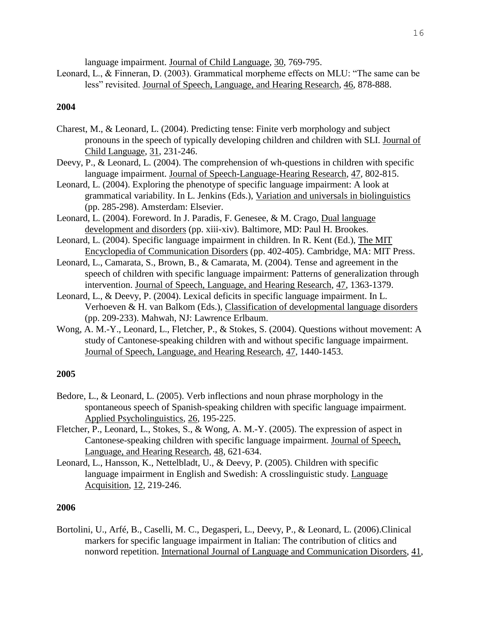language impairment. Journal of Child Language, 30, 769-795.

Leonard, L., & Finneran, D. (2003). Grammatical morpheme effects on MLU: "The same can be less" revisited. Journal of Speech, Language, and Hearing Research, 46, 878-888.

## **2004**

- Charest, M., & Leonard, L. (2004). Predicting tense: Finite verb morphology and subject pronouns in the speech of typically developing children and children with SLI. Journal of Child Language, 31, 231-246.
- Deevy, P., & Leonard, L. (2004). The comprehension of wh-questions in children with specific language impairment. Journal of Speech-Language-Hearing Research, 47, 802-815.
- Leonard, L. (2004). Exploring the phenotype of specific language impairment: A look at grammatical variability. In L. Jenkins (Eds.), Variation and universals in biolinguistics (pp. 285-298). Amsterdam: Elsevier.
- Leonard, L. (2004). Foreword. In J. Paradis, F. Genesee, & M. Crago, Dual language development and disorders (pp. xiii-xiv). Baltimore, MD: Paul H. Brookes.
- Leonard, L. (2004). Specific language impairment in children. In R. Kent (Ed.), The MIT Encyclopedia of Communication Disorders (pp. 402-405). Cambridge, MA: MIT Press.
- Leonard, L., Camarata, S., Brown, B., & Camarata, M. (2004). Tense and agreement in the speech of children with specific language impairment: Patterns of generalization through intervention. Journal of Speech, Language, and Hearing Research, 47, 1363-1379.
- Leonard, L., & Deevy, P. (2004). Lexical deficits in specific language impairment. In L. Verhoeven & H. van Balkom (Eds.), Classification of developmental language disorders (pp. 209-233). Mahwah, NJ: Lawrence Erlbaum.
- Wong, A. M.-Y., Leonard, L., Fletcher, P., & Stokes, S. (2004). Questions without movement: A study of Cantonese-speaking children with and without specific language impairment. Journal of Speech, Language, and Hearing Research, 47, 1440-1453.

#### **2005**

- Bedore, L., & Leonard, L. (2005). Verb inflections and noun phrase morphology in the spontaneous speech of Spanish-speaking children with specific language impairment. Applied Psycholinguistics, 26, 195-225.
- Fletcher, P., Leonard, L., Stokes, S., & Wong, A. M.-Y. (2005). The expression of aspect in Cantonese-speaking children with specific language impairment. Journal of Speech, Language, and Hearing Research, 48, 621-634.
- Leonard, L., Hansson, K., Nettelbladt, U., & Deevy, P. (2005). Children with specific language impairment in English and Swedish: A crosslinguistic study. Language Acquisition, 12, 219-246.

# **2006**

Bortolini, U., Arfé, B., Caselli, M. C., Degasperi, L., Deevy, P., & Leonard, L. (2006).Clinical markers for specific language impairment in Italian: The contribution of clitics and nonword repetition. International Journal of Language and Communication Disorders, 41,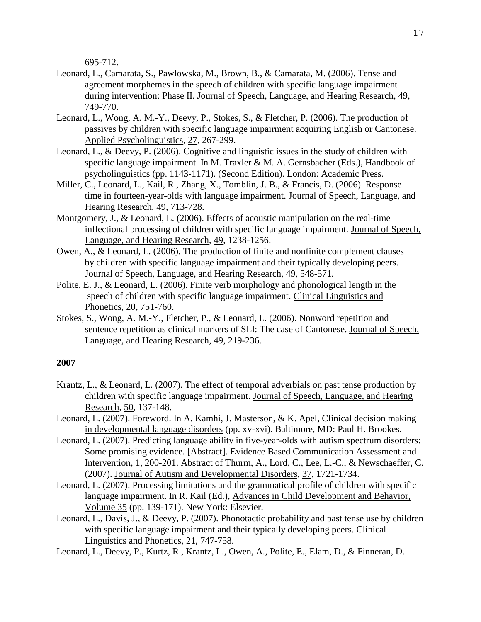695-712.

- Leonard, L., Camarata, S., Pawlowska, M., Brown, B., & Camarata, M. (2006). Tense and agreement morphemes in the speech of children with specific language impairment during intervention: Phase II. Journal of Speech, Language, and Hearing Research, 49, 749-770.
- Leonard, L., Wong, A. M.-Y., Deevy, P., Stokes, S., & Fletcher, P. (2006). The production of passives by children with specific language impairment acquiring English or Cantonese. Applied Psycholinguistics, 27, 267-299.
- Leonard, L., & Deevy, P. (2006). Cognitive and linguistic issues in the study of children with specific language impairment. In M. Traxler & M. A. Gernsbacher (Eds.), Handbook of psycholinguistics (pp. 1143-1171). (Second Edition). London: Academic Press.
- Miller, C., Leonard, L., Kail, R., Zhang, X., Tomblin, J. B., & Francis, D. (2006). Response time in fourteen-year-olds with language impairment. Journal of Speech, Language, and Hearing Research, 49, 713-728.
- Montgomery, J., & Leonard, L. (2006). Effects of acoustic manipulation on the real-time inflectional processing of children with specific language impairment. Journal of Speech, Language, and Hearing Research, 49, 1238-1256.
- Owen, A., & Leonard, L. (2006). The production of finite and nonfinite complement clauses by children with specific language impairment and their typically developing peers. Journal of Speech, Language, and Hearing Research, 49, 548-571.
- Polite, E. J., & Leonard, L. (2006). Finite verb morphology and phonological length in the speech of children with specific language impairment. Clinical Linguistics and Phonetics, 20, 751-760.
- Stokes, S., Wong, A. M.-Y., Fletcher, P., & Leonard, L. (2006). Nonword repetition and sentence repetition as clinical markers of SLI: The case of Cantonese. Journal of Speech, Language, and Hearing Research, 49, 219-236.

- Krantz, L., & Leonard, L. (2007). The effect of temporal adverbials on past tense production by children with specific language impairment. Journal of Speech, Language, and Hearing Research, 50, 137-148.
- Leonard, L. (2007). Foreword. In A. Kamhi, J. Masterson, & K. Apel, Clinical decision making in developmental language disorders (pp. xv-xvi). Baltimore, MD: Paul H. Brookes.
- Leonard, L. (2007). Predicting language ability in five-year-olds with autism spectrum disorders: Some promising evidence. [Abstract]. Evidence Based Communication Assessment and Intervention, 1, 200-201. Abstract of Thurm, A., Lord, C., Lee, L.-C., & Newschaeffer, C. (2007). Journal of Autism and Developmental Disorders, 37, 1721-1734.
- Leonard, L. (2007). Processing limitations and the grammatical profile of children with specific language impairment. In R. Kail (Ed.), Advances in Child Development and Behavior, Volume 35 (pp. 139-171). New York: Elsevier.
- Leonard, L., Davis, J., & Deevy, P. (2007). Phonotactic probability and past tense use by children with specific language impairment and their typically developing peers. Clinical Linguistics and Phonetics, 21, 747-758.
- Leonard, L., Deevy, P., Kurtz, R., Krantz, L., Owen, A., Polite, E., Elam, D., & Finneran, D.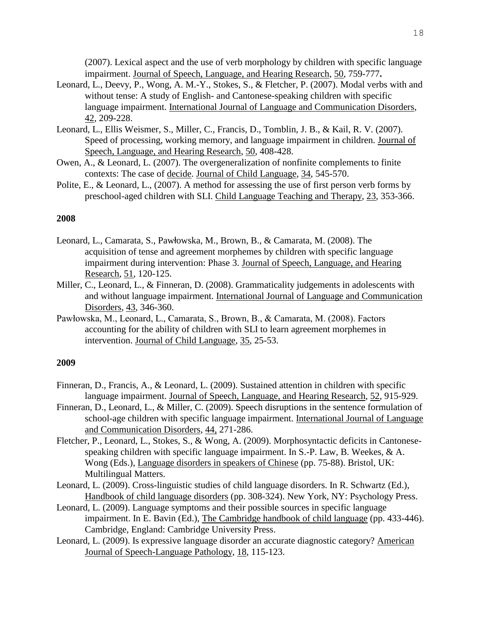(2007). Lexical aspect and the use of verb morphology by children with specific language impairment. Journal of Speech, Language, and Hearing Research, 50, 759-777**.**

- Leonard, L., Deevy, P., Wong, A. M.-Y., Stokes, S., & Fletcher, P. (2007). Modal verbs with and without tense: A study of English- and Cantonese-speaking children with specific language impairment. International Journal of Language and Communication Disorders, 42, 209-228.
- Leonard, L., Ellis Weismer, S., Miller, C., Francis, D., Tomblin, J. B., & Kail, R. V. (2007). Speed of processing, working memory, and language impairment in children. Journal of Speech, Language, and Hearing Research, 50, 408-428.
- Owen, A., & Leonard, L. (2007). The overgeneralization of nonfinite complements to finite contexts: The case of decide. Journal of Child Language, 34, 545-570.
- Polite, E., & Leonard, L., (2007). A method for assessing the use of first person verb forms by preschool-aged children with SLI. Child Language Teaching and Therapy, 23, 353-366.

## **2008**

- Leonard, L., Camarata, S., Pawłowska, M., Brown, B., & Camarata, M. (2008). The acquisition of tense and agreement morphemes by children with specific language impairment during intervention: Phase 3. Journal of Speech, Language, and Hearing Research, 51, 120-125.
- Miller, C., Leonard, L., & Finneran, D. (2008). Grammaticality judgements in adolescents with and without language impairment. International Journal of Language and Communication Disorders, 43, 346-360.
- Pawłowska, M., Leonard, L., Camarata, S., Brown, B., & Camarata, M. (2008). Factors accounting for the ability of children with SLI to learn agreement morphemes in intervention. Journal of Child Language, 35, 25-53.

- Finneran, D., Francis, A., & Leonard, L. (2009). Sustained attention in children with specific language impairment. Journal of Speech, Language, and Hearing Research, 52, 915-929.
- Finneran, D., Leonard, L., & Miller, C. (2009). Speech disruptions in the sentence formulation of school-age children with specific language impairment. International Journal of Language and Communication Disorders, 44, 271-286.
- Fletcher, P., Leonard, L., Stokes, S., & Wong, A. (2009). Morphosyntactic deficits in Cantonesespeaking children with specific language impairment. In S.-P. Law, B. Weekes, & A. Wong (Eds.), Language disorders in speakers of Chinese (pp. 75-88). Bristol, UK: Multilingual Matters.
- Leonard, L. (2009). Cross-linguistic studies of child language disorders. In R. Schwartz (Ed.), Handbook of child language disorders (pp. 308-324). New York, NY: Psychology Press.
- Leonard, L. (2009). Language symptoms and their possible sources in specific language impairment. In E. Bavin (Ed.), The Cambridge handbook of child language (pp. 433-446). Cambridge, England: Cambridge University Press.
- Leonard, L. (2009). Is expressive language disorder an accurate diagnostic category? American Journal of Speech-Language Pathology, 18, 115-123.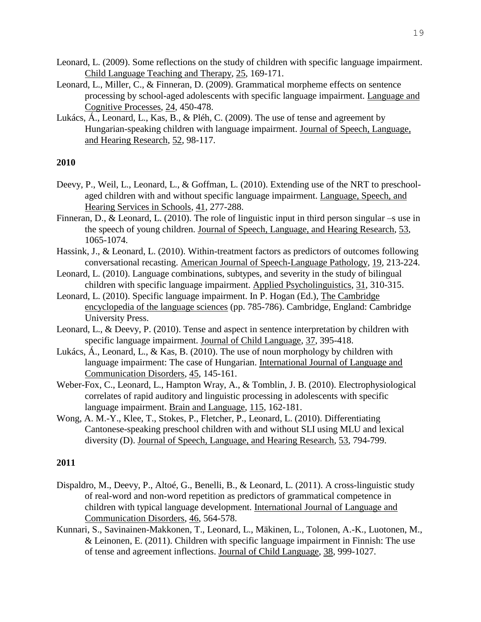- Leonard, L. (2009). Some reflections on the study of children with specific language impairment. Child Language Teaching and Therapy, 25, 169-171.
- Leonard, L., Miller, C., & Finneran, D. (2009). Grammatical morpheme effects on sentence processing by school-aged adolescents with specific language impairment. Language and Cognitive Processes, 24, 450-478.
- Lukács, Á., Leonard, L., Kas, B., & Pléh, C. (2009). The use of tense and agreement by Hungarian-speaking children with language impairment. Journal of Speech, Language, and Hearing Research, 52, 98-117.

- Deevy, P., Weil, L., Leonard, L., & Goffman, L. (2010). Extending use of the NRT to preschoolaged children with and without specific language impairment. Language, Speech, and Hearing Services in Schools, 41, 277-288.
- Finneran, D., & Leonard, L. (2010). The role of linguistic input in third person singular –s use in the speech of young children. Journal of Speech, Language, and Hearing Research, 53, 1065-1074.
- Hassink, J., & Leonard, L. (2010). Within-treatment factors as predictors of outcomes following conversational recasting. American Journal of Speech-Language Pathology, 19, 213-224.
- Leonard, L. (2010). Language combinations, subtypes, and severity in the study of bilingual children with specific language impairment. Applied Psycholinguistics, 31, 310-315.
- Leonard, L. (2010). Specific language impairment. In P. Hogan (Ed.), The Cambridge encyclopedia of the language sciences (pp. 785-786). Cambridge, England: Cambridge University Press.
- Leonard, L., & Deevy, P. (2010). Tense and aspect in sentence interpretation by children with specific language impairment. Journal of Child Language, 37, 395-418.
- Lukács, Á., Leonard, L., & Kas, B. (2010). The use of noun morphology by children with language impairment: The case of Hungarian. International Journal of Language and Communication Disorders, 45, 145-161.
- Weber-Fox, C., Leonard, L., Hampton Wray, A., & Tomblin, J. B. (2010). Electrophysiological correlates of rapid auditory and linguistic processing in adolescents with specific language impairment. Brain and Language, 115, 162-181.
- Wong, A. M.-Y., Klee, T., Stokes, P., Fletcher, P., Leonard, L. (2010). Differentiating Cantonese-speaking preschool children with and without SLI using MLU and lexical diversity (D). Journal of Speech, Language, and Hearing Research, 53, 794-799.

- Dispaldro, M., Deevy, P., Altoé, G., Benelli, B., & Leonard, L. (2011). A cross-linguistic study of real-word and non-word repetition as predictors of grammatical competence in children with typical language development. International Journal of Language and Communication Disorders, 46, 564-578.
- Kunnari, S., Savinainen-Makkonen, T., Leonard, L., Mäkinen, L., Tolonen, A.-K., Luotonen, M., & Leinonen, E. (2011). Children with specific language impairment in Finnish: The use of tense and agreement inflections. Journal of Child Language, 38, 999-1027.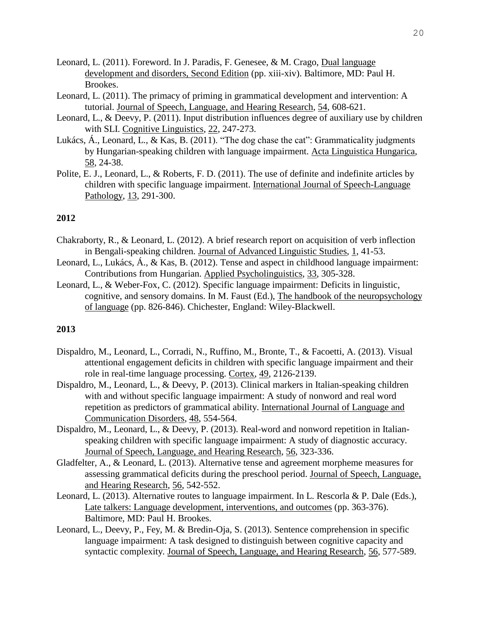- Leonard, L. (2011). Foreword. In J. Paradis, F. Genesee, & M. Crago, Dual language development and disorders, Second Edition (pp. xiii-xiv). Baltimore, MD: Paul H. Brookes.
- Leonard, L. (2011). The primacy of priming in grammatical development and intervention: A tutorial. Journal of Speech, Language, and Hearing Research, 54, 608-621.
- Leonard, L., & Deevy, P. (2011). Input distribution influences degree of auxiliary use by children with SLI. Cognitive Linguistics, 22, 247-273.
- Lukács, Á., Leonard, L., & Kas, B. (2011). "The dog chase the cat": Grammaticality judgments by Hungarian-speaking children with language impairment. Acta Linguistica Hungarica, 58, 24-38.
- Polite, E. J., Leonard, L., & Roberts, F. D. (2011). The use of definite and indefinite articles by children with specific language impairment. International Journal of Speech-Language Pathology, 13, 291-300.

- Chakraborty, R., & Leonard, L. (2012). A brief research report on acquisition of verb inflection in Bengali-speaking children. Journal of Advanced Linguistic Studies, 1, 41-53.
- Leonard, L., Lukács, Á., & Kas, B. (2012). Tense and aspect in childhood language impairment: Contributions from Hungarian. Applied Psycholinguistics, 33, 305-328.
- Leonard, L., & Weber-Fox, C. (2012). Specific language impairment: Deficits in linguistic, cognitive, and sensory domains. In M. Faust (Ed.), The handbook of the neuropsychology of language (pp. 826-846). Chichester, England: Wiley-Blackwell.

- Dispaldro, M., Leonard, L., Corradi, N., Ruffino, M., Bronte, T., & Facoetti, A. (2013). Visual attentional engagement deficits in children with specific language impairment and their role in real-time language processing. Cortex, 49, 2126-2139.
- Dispaldro, M., Leonard, L., & Deevy, P. (2013). Clinical markers in Italian-speaking children with and without specific language impairment: A study of nonword and real word repetition as predictors of grammatical ability. International Journal of Language and Communication Disorders, 48, 554-564.
- Dispaldro, M., Leonard, L., & Deevy, P. (2013). Real-word and nonword repetition in Italianspeaking children with specific language impairment: A study of diagnostic accuracy. Journal of Speech, Language, and Hearing Research, 56, 323-336.
- Gladfelter, A., & Leonard, L. (2013). Alternative tense and agreement morpheme measures for assessing grammatical deficits during the preschool period. Journal of Speech, Language, and Hearing Research, 56, 542-552.
- Leonard, L. (2013). Alternative routes to language impairment. In L. Rescorla & P. Dale (Eds.), Late talkers: Language development, interventions, and outcomes (pp. 363-376). Baltimore, MD: Paul H. Brookes.
- Leonard, L., Deevy, P., Fey, M. & Bredin-Oja, S. (2013). Sentence comprehension in specific language impairment: A task designed to distinguish between cognitive capacity and syntactic complexity. Journal of Speech, Language, and Hearing Research, 56, 577-589.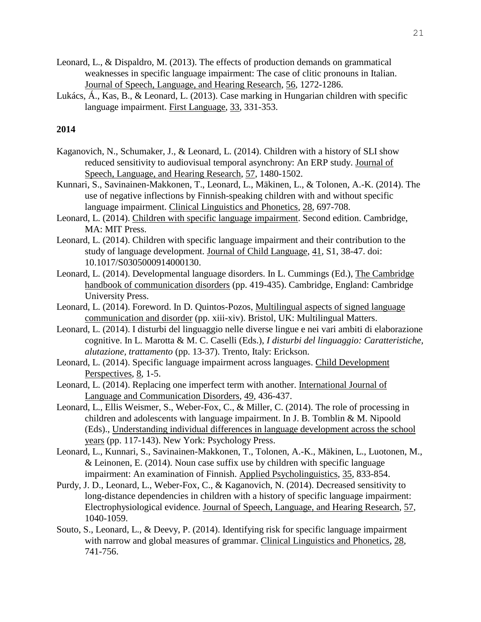- Leonard, L., & Dispaldro, M. (2013). The effects of production demands on grammatical weaknesses in specific language impairment: The case of clitic pronouns in Italian. Journal of Speech, Language, and Hearing Research, 56, 1272-1286.
- Lukács, Á., Kas, B., & Leonard, L. (2013). Case marking in Hungarian children with specific language impairment. First Language, 33, 331-353.

- Kaganovich, N., Schumaker, J., & Leonard, L. (2014). Children with a history of SLI show reduced sensitivity to audiovisual temporal asynchrony: An ERP study. Journal of Speech, Language, and Hearing Research, 57, 1480-1502.
- Kunnari, S., Savinainen-Makkonen, T., Leonard, L., Mäkinen, L., & Tolonen, A.-K. (2014). The use of negative inflections by Finnish-speaking children with and without specific language impairment. Clinical Linguistics and Phonetics, 28, 697-708.
- Leonard, L. (2014). Children with specific language impairment. Second edition. Cambridge, MA: MIT Press.
- Leonard, L. (2014). Children with specific language impairment and their contribution to the study of language development. Journal of Child Language, 41, S1, 38-47. doi: 10.1017/S0305000914000130.
- Leonard, L. (2014). Developmental language disorders. In L. Cummings (Ed.), The Cambridge handbook of communication disorders (pp. 419-435). Cambridge, England: Cambridge University Press.
- Leonard, L. (2014). Foreword. In D. Quintos-Pozos, Multilingual aspects of signed language communication and disorder (pp. xiii-xiv). Bristol, UK: Multilingual Matters.
- Leonard, L. (2014). I disturbi del linguaggio nelle diverse lingue e nei vari ambiti di elaborazione cognitive. In L. Marotta & M. C. Caselli (Eds.), *I disturbi del linguaggio: Caratteristiche, alutazione, trattamento* (pp. 13-37). Trento, Italy: Erickson.
- Leonard, L. (2014). Specific language impairment across languages. Child Development Perspectives, 8, 1-5.
- Leonard, L. (2014). Replacing one imperfect term with another. International Journal of Language and Communication Disorders, 49, 436-437.
- Leonard, L., Ellis Weismer, S., Weber-Fox, C., & Miller, C. (2014). The role of processing in children and adolescents with language impairment. In J. B. Tomblin & M. Nipoold (Eds)., Understanding individual differences in language development across the school years (pp. 117-143). New York: Psychology Press.
- Leonard, L., Kunnari, S., Savinainen-Makkonen, T., Tolonen, A.-K., Mäkinen, L., Luotonen, M., & Leinonen, E. (2014). Noun case suffix use by children with specific language impairment: An examination of Finnish. Applied Psycholinguistics, 35, 833-854.
- Purdy, J. D., Leonard, L., Weber-Fox, C., & Kaganovich, N. (2014). Decreased sensitivity to long-distance dependencies in children with a history of specific language impairment: Electrophysiological evidence. Journal of Speech, Language, and Hearing Research, 57, 1040-1059.
- Souto, S., Leonard, L., & Deevy, P. (2014). Identifying risk for specific language impairment with narrow and global measures of grammar. Clinical Linguistics and Phonetics, 28, 741-756.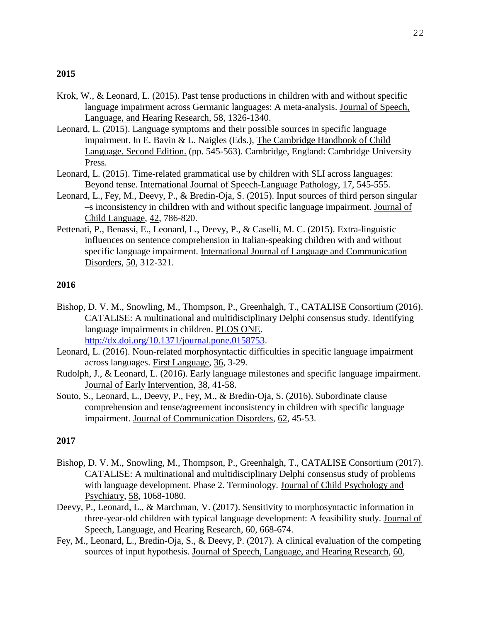- Krok, W., & Leonard, L. (2015). Past tense productions in children with and without specific language impairment across Germanic languages: A meta-analysis. Journal of Speech, Language, and Hearing Research, 58, 1326-1340.
- Leonard, L. (2015). Language symptoms and their possible sources in specific language impairment. In E. Bavin & L. Naigles (Eds.), The Cambridge Handbook of Child Language. Second Edition. (pp. 545-563). Cambridge, England: Cambridge University Press.
- Leonard, L. (2015). Time-related grammatical use by children with SLI across languages: Beyond tense. International Journal of Speech-Language Pathology, 17, 545-555.
- Leonard, L., Fey, M., Deevy, P., & Bredin-Oja, S. (2015). Input sources of third person singular –s inconsistency in children with and without specific language impairment. Journal of Child Language, 42, 786-820.
- Pettenati, P., Benassi, E., Leonard, L., Deevy, P., & Caselli, M. C. (2015). Extra-linguistic influences on sentence comprehension in Italian-speaking children with and without specific language impairment. International Journal of Language and Communication Disorders, 50, 312-321.

## **2016**

- Bishop, D. V. M., Snowling, M., Thompson, P., Greenhalgh, T., CATALISE Consortium (2016). CATALISE: A multinational and multidisciplinary Delphi consensus study. Identifying language impairments in children. PLOS ONE. [http://dx.doi.org/10.1371/journal.pone.0158753.](http://dx.doi.org/10.1371/journal.pone.0158753)
- Leonard, L. (2016). Noun-related morphosyntactic difficulties in specific language impairment across languages. First Language, 36, 3-29.
- Rudolph, J., & Leonard, L. (2016). Early language milestones and specific language impairment. Journal of Early Intervention, 38, 41-58.
- Souto, S., Leonard, L., Deevy, P., Fey, M., & Bredin-Oja, S. (2016). Subordinate clause comprehension and tense/agreement inconsistency in children with specific language impairment. Journal of Communication Disorders, 62, 45-53.

- Bishop, D. V. M., Snowling, M., Thompson, P., Greenhalgh, T., CATALISE Consortium (2017). CATALISE: A multinational and multidisciplinary Delphi consensus study of problems with language development. Phase 2. Terminology. Journal of Child Psychology and Psychiatry, 58, 1068-1080.
- Deevy, P., Leonard, L., & Marchman, V. (2017). Sensitivity to morphosyntactic information in three-year-old children with typical language development: A feasibility study. Journal of Speech, Language, and Hearing Research, 60, 668-674.
- Fey, M., Leonard, L., Bredin-Oja, S., & Deevy, P. (2017). A clinical evaluation of the competing sources of input hypothesis. Journal of Speech, Language, and Hearing Research, 60,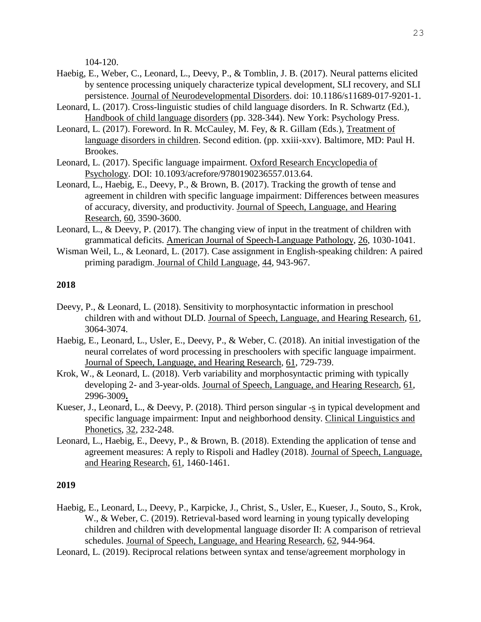104-120.

- Haebig, E., Weber, C., Leonard, L., Deevy, P., & Tomblin, J. B. (2017). Neural patterns elicited by sentence processing uniquely characterize typical development, SLI recovery, and SLI persistence. Journal of Neurodevelopmental Disorders. doi: 10.1186/s11689-017-9201-1.
- Leonard, L. (2017). Cross-linguistic studies of child language disorders. In R. Schwartz (Ed.), Handbook of child language disorders (pp. 328-344). New York: Psychology Press.
- Leonard, L. (2017). Foreword. In R. McCauley, M. Fey, & R. Gillam (Eds.), Treatment of language disorders in children. Second edition. (pp. xxiii-xxv). Baltimore, MD: Paul H. Brookes.
- Leonard, L. (2017). Specific language impairment. Oxford Research Encyclopedia of Psychology. DOI: 10.1093/acrefore/9780190236557.013.64.
- Leonard, L., Haebig, E., Deevy, P., & Brown, B. (2017). Tracking the growth of tense and agreement in children with specific language impairment: Differences between measures of accuracy, diversity, and productivity. Journal of Speech, Language, and Hearing Research, 60, 3590-3600.
- Leonard, L., & Deevy, P. (2017). The changing view of input in the treatment of children with grammatical deficits. American Journal of Speech-Language Pathology, 26, 1030-1041.
- Wisman Weil, L., & Leonard, L. (2017). Case assignment in English-speaking children: A paired priming paradigm. Journal of Child Language, 44, 943-967.

## **2018**

- Deevy, P., & Leonard, L. (2018). Sensitivity to morphosyntactic information in preschool children with and without DLD. Journal of Speech, Language, and Hearing Research, 61, 3064-3074.
- Haebig, E., Leonard, L., Usler, E., Deevy, P., & Weber, C. (2018). An initial investigation of the neural correlates of word processing in preschoolers with specific language impairment. Journal of Speech, Language, and Hearing Research, 61, 729-739.
- Krok, W., & Leonard, L. (2018). Verb variability and morphosyntactic priming with typically developing 2- and 3-year-olds. Journal of Speech, Language, and Hearing Research, 61, 2996-3009**.**
- Kueser, J., Leonard, L., & Deevy, P. (2018). Third person singular -s in typical development and specific language impairment: Input and neighborhood density. Clinical Linguistics and Phonetics, 32, 232-248.
- Leonard, L., Haebig, E., Deevy, P., & Brown, B. (2018). Extending the application of tense and agreement measures: A reply to Rispoli and Hadley (2018). Journal of Speech, Language, and Hearing Research, 61, 1460-1461.

- Haebig, E., Leonard, L., Deevy, P., Karpicke, J., Christ, S., Usler, E., Kueser, J., Souto, S., Krok, W., & Weber, C. (2019). Retrieval-based word learning in young typically developing children and children with developmental language disorder II: A comparison of retrieval schedules. Journal of Speech, Language, and Hearing Research, 62, 944-964.
- Leonard, L. (2019). Reciprocal relations between syntax and tense/agreement morphology in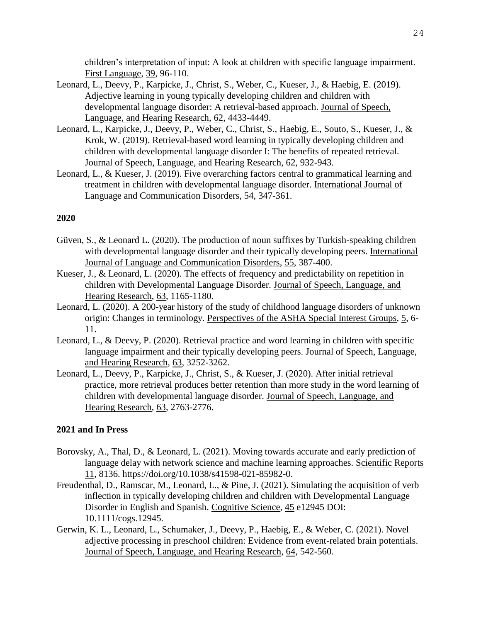children's interpretation of input: A look at children with specific language impairment. First Language, 39, 96-110.

- Leonard, L., Deevy, P., Karpicke, J., Christ, S., Weber, C., Kueser, J., & Haebig, E. (2019). Adjective learning in young typically developing children and children with developmental language disorder: A retrieval-based approach. Journal of Speech, Language, and Hearing Research, 62, 4433-4449.
- Leonard, L., Karpicke, J., Deevy, P., Weber, C., Christ, S., Haebig, E., Souto, S., Kueser, J., & Krok, W. (2019). Retrieval-based word learning in typically developing children and children with developmental language disorder I: The benefits of repeated retrieval. Journal of Speech, Language, and Hearing Research, 62, 932-943.
- Leonard, L., & Kueser, J. (2019). Five overarching factors central to grammatical learning and treatment in children with developmental language disorder. International Journal of Language and Communication Disorders, 54, 347-361.

# **2020**

- Güven, S., & Leonard L. (2020). The production of noun suffixes by Turkish-speaking children with developmental language disorder and their typically developing peers. International Journal of Language and Communication Disorders, 55, 387-400.
- Kueser, J., & Leonard, L. (2020). The effects of frequency and predictability on repetition in children with Developmental Language Disorder. Journal of Speech, Language, and Hearing Research, 63, 1165-1180.
- Leonard, L. (2020). A 200-year history of the study of childhood language disorders of unknown origin: Changes in terminology. Perspectives of the ASHA Special Interest Groups, 5, 6- 11.
- Leonard, L., & Deevy, P. (2020). Retrieval practice and word learning in children with specific language impairment and their typically developing peers. Journal of Speech, Language, and Hearing Research, 63, 3252-3262.
- Leonard, L., Deevy, P., Karpicke, J., Christ, S., & Kueser, J. (2020). After initial retrieval practice, more retrieval produces better retention than more study in the word learning of children with developmental language disorder. Journal of Speech, Language, and Hearing Research, 63, 2763-2776.

# **2021 and In Press**

- Borovsky, A., Thal, D., & Leonard, L. (2021). Moving towards accurate and early prediction of language delay with network science and machine learning approaches. Scientific Reports 11, 8136. https://doi.org/10.1038/s41598-021-85982-0.
- Freudenthal, D., Ramscar, M., Leonard, L., & Pine, J. (2021). Simulating the acquisition of verb inflection in typically developing children and children with Developmental Language Disorder in English and Spanish. Cognitive Science, 45 e12945 DOI: 10.1111/cogs.12945.
- Gerwin, K. L., Leonard, L., Schumaker, J., Deevy, P., Haebig, E., & Weber, C. (2021). Novel adjective processing in preschool children: Evidence from event-related brain potentials. Journal of Speech, Language, and Hearing Research, 64, 542-560.